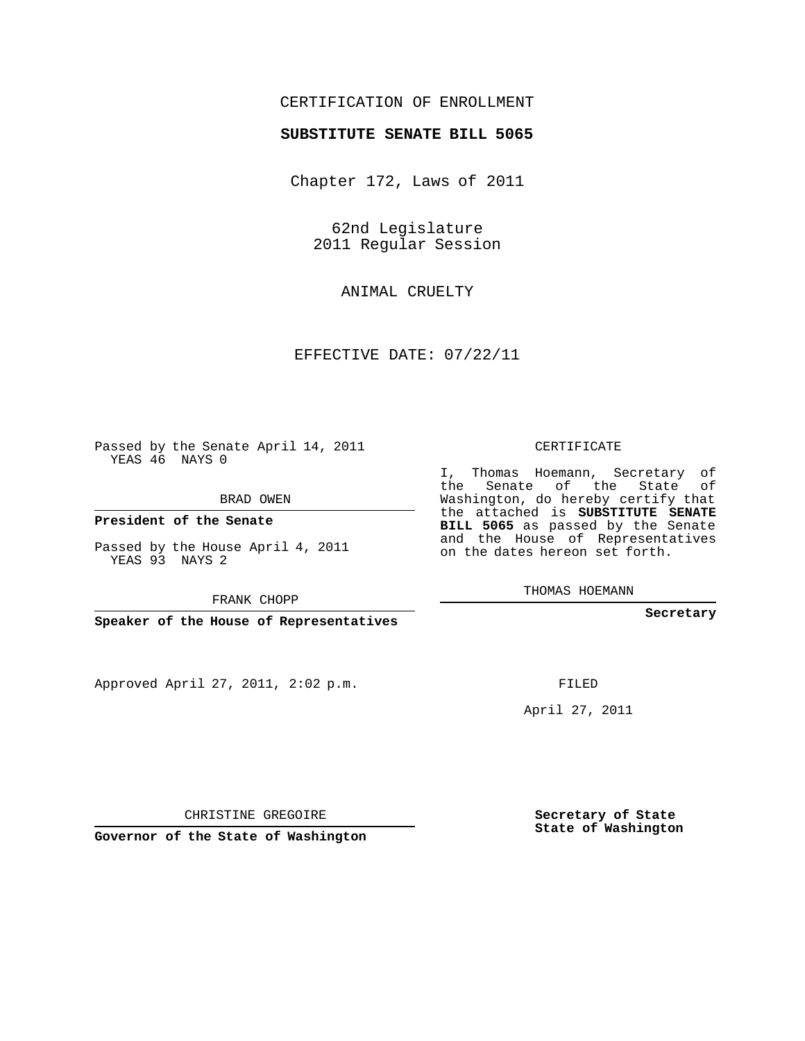## CERTIFICATION OF ENROLLMENT

## **SUBSTITUTE SENATE BILL 5065**

Chapter 172, Laws of 2011

62nd Legislature 2011 Regular Session

ANIMAL CRUELTY

EFFECTIVE DATE: 07/22/11

Passed by the Senate April 14, 2011 YEAS 46 NAYS 0

BRAD OWEN

**President of the Senate**

Passed by the House April 4, 2011 YEAS 93 NAYS 2

FRANK CHOPP

**Speaker of the House of Representatives**

Approved April 27, 2011, 2:02 p.m.

CERTIFICATE

I, Thomas Hoemann, Secretary of the Senate of the State of Washington, do hereby certify that the attached is **SUBSTITUTE SENATE BILL 5065** as passed by the Senate and the House of Representatives on the dates hereon set forth.

THOMAS HOEMANN

**Secretary**

FILED

April 27, 2011

**Secretary of State State of Washington**

CHRISTINE GREGOIRE

**Governor of the State of Washington**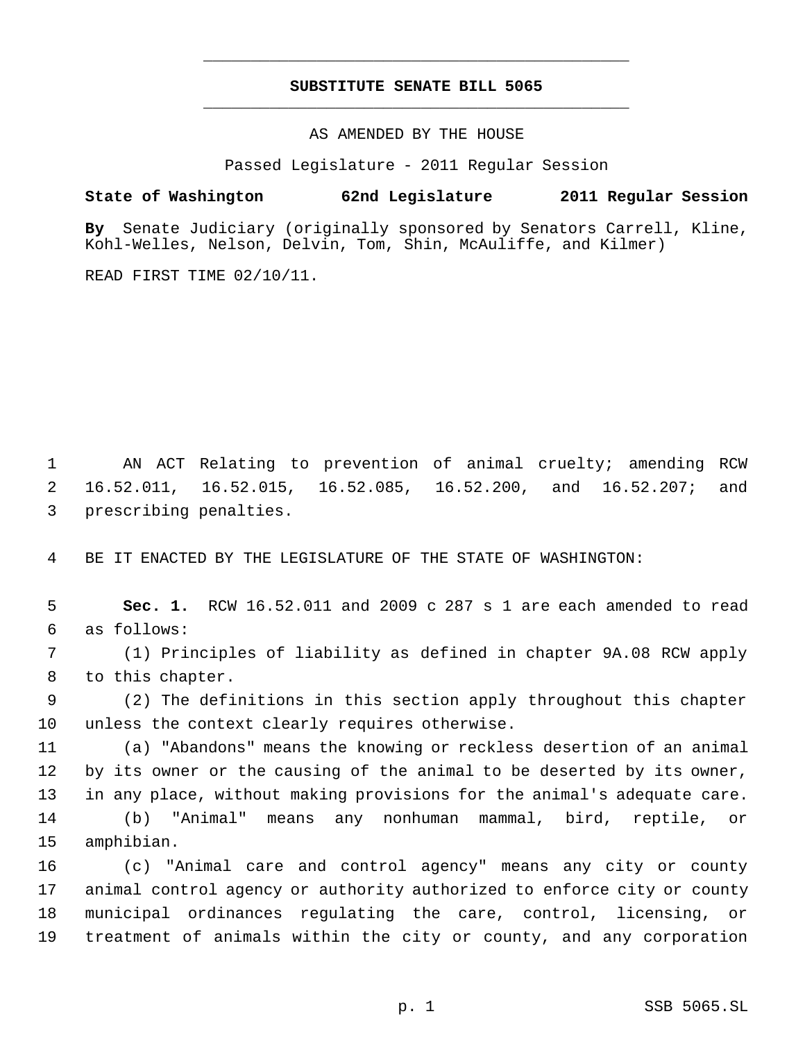## **SUBSTITUTE SENATE BILL 5065** \_\_\_\_\_\_\_\_\_\_\_\_\_\_\_\_\_\_\_\_\_\_\_\_\_\_\_\_\_\_\_\_\_\_\_\_\_\_\_\_\_\_\_\_\_

\_\_\_\_\_\_\_\_\_\_\_\_\_\_\_\_\_\_\_\_\_\_\_\_\_\_\_\_\_\_\_\_\_\_\_\_\_\_\_\_\_\_\_\_\_

AS AMENDED BY THE HOUSE

Passed Legislature - 2011 Regular Session

## **State of Washington 62nd Legislature 2011 Regular Session**

**By** Senate Judiciary (originally sponsored by Senators Carrell, Kline, Kohl-Welles, Nelson, Delvin, Tom, Shin, McAuliffe, and Kilmer)

READ FIRST TIME 02/10/11.

 AN ACT Relating to prevention of animal cruelty; amending RCW 16.52.011, 16.52.015, 16.52.085, 16.52.200, and 16.52.207; and prescribing penalties.

BE IT ENACTED BY THE LEGISLATURE OF THE STATE OF WASHINGTON:

 **Sec. 1.** RCW 16.52.011 and 2009 c 287 s 1 are each amended to read as follows:

 (1) Principles of liability as defined in chapter 9A.08 RCW apply to this chapter.

 (2) The definitions in this section apply throughout this chapter unless the context clearly requires otherwise.

 (a) "Abandons" means the knowing or reckless desertion of an animal by its owner or the causing of the animal to be deserted by its owner, in any place, without making provisions for the animal's adequate care. (b) "Animal" means any nonhuman mammal, bird, reptile, or amphibian.

 (c) "Animal care and control agency" means any city or county animal control agency or authority authorized to enforce city or county municipal ordinances regulating the care, control, licensing, or treatment of animals within the city or county, and any corporation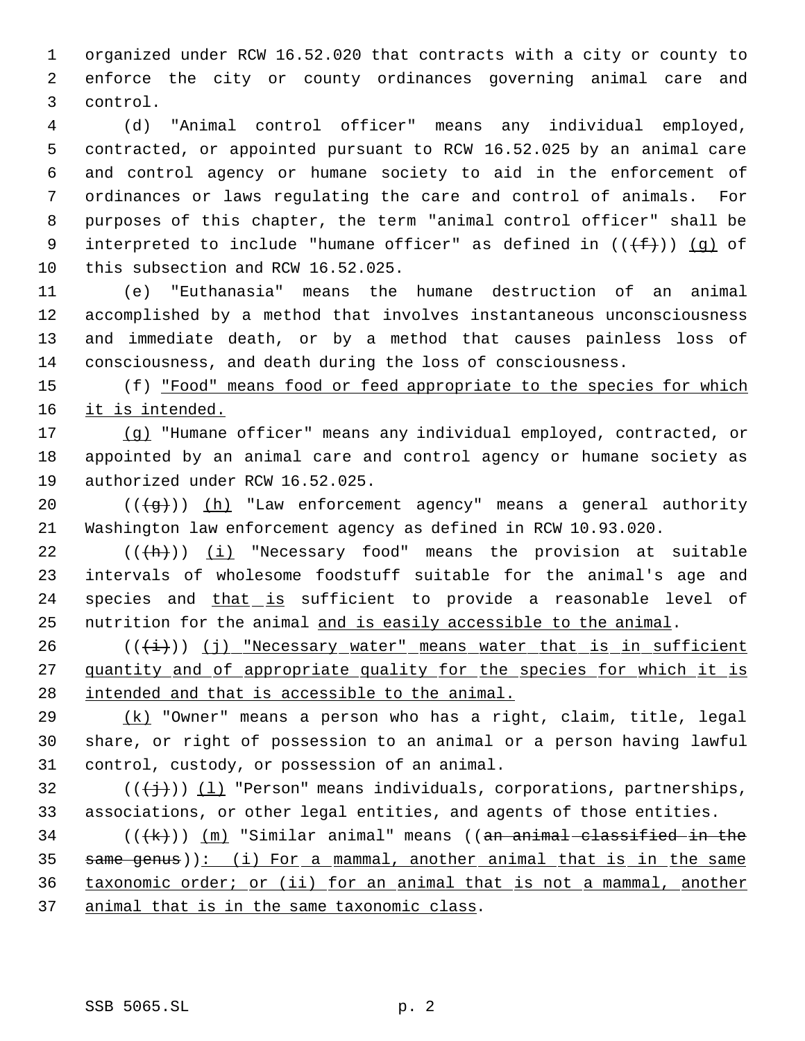organized under RCW 16.52.020 that contracts with a city or county to enforce the city or county ordinances governing animal care and control.

 (d) "Animal control officer" means any individual employed, contracted, or appointed pursuant to RCW 16.52.025 by an animal care and control agency or humane society to aid in the enforcement of ordinances or laws regulating the care and control of animals. For purposes of this chapter, the term "animal control officer" shall be 9 interpreted to include "humane officer" as defined in  $((+f+))$  (q) of this subsection and RCW 16.52.025.

 (e) "Euthanasia" means the humane destruction of an animal accomplished by a method that involves instantaneous unconsciousness and immediate death, or by a method that causes painless loss of consciousness, and death during the loss of consciousness.

15 (f) "Food" means food or feed appropriate to the species for which 16 it is intended.

 (g) "Humane officer" means any individual employed, contracted, or appointed by an animal care and control agency or humane society as authorized under RCW 16.52.025.

20  $((\frac{1}{3}))(h)$  "Law enforcement agency" means a general authority Washington law enforcement agency as defined in RCW 10.93.020.

22  $((+h))$   $(i)$  "Necessary food" means the provision at suitable intervals of wholesome foodstuff suitable for the animal's age and 24 species and that is sufficient to provide a reasonable level of 25 nutrition for the animal and is easily accessible to the animal.

 ( $(\frac{1}{1})$ ) (j) "Necessary water" means water that is in sufficient 27 quantity and of appropriate quality for the species for which it is intended and that is accessible to the animal.

 (k) "Owner" means a person who has a right, claim, title, legal share, or right of possession to an animal or a person having lawful control, custody, or possession of an animal.

32 ( $(\langle +\frac{1}{2}\rangle)$ ) (1) "Person" means individuals, corporations, partnerships, associations, or other legal entities, and agents of those entities.

34 ( $(\langle k \rangle)$ ) (m) "Similar animal" means ((an animal classified in the 35 same genus)): (i) For a mammal, another animal that is in the same taxonomic order; or (ii) for an animal that is not a mammal, another animal that is in the same taxonomic class.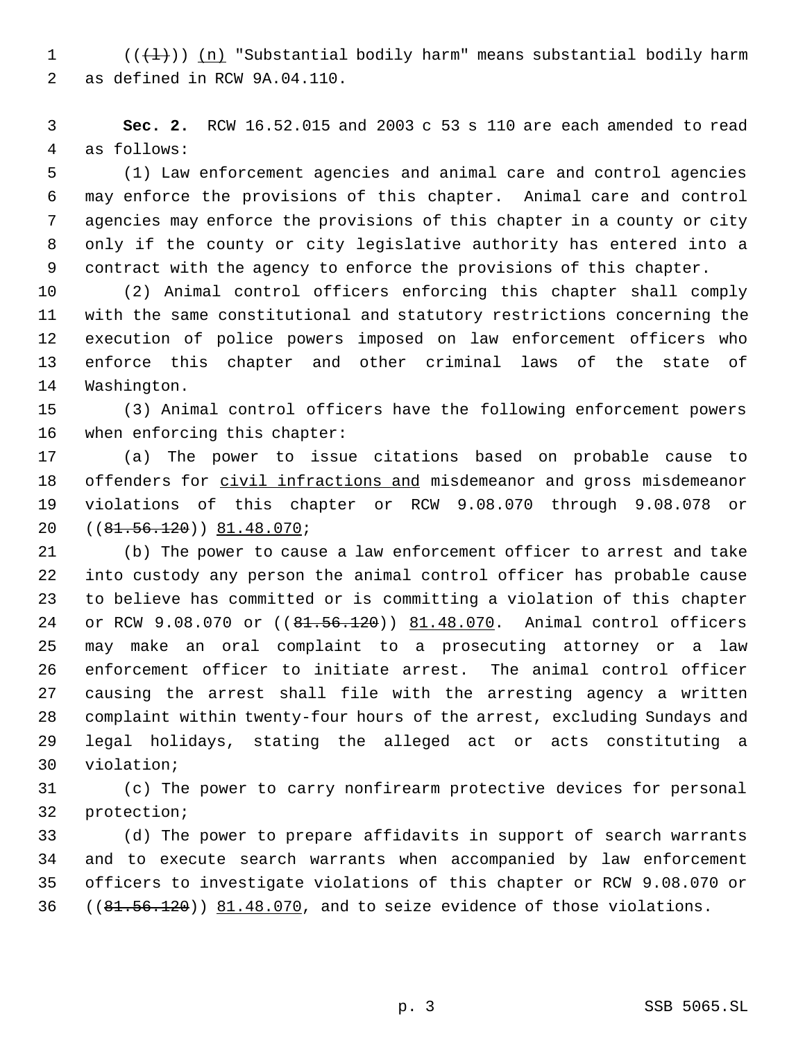1 ( $(\{\pm\})$ ) (n) "Substantial bodily harm" means substantial bodily harm as defined in RCW 9A.04.110.

 **Sec. 2.** RCW 16.52.015 and 2003 c 53 s 110 are each amended to read as follows:

 (1) Law enforcement agencies and animal care and control agencies may enforce the provisions of this chapter. Animal care and control agencies may enforce the provisions of this chapter in a county or city only if the county or city legislative authority has entered into a contract with the agency to enforce the provisions of this chapter.

 (2) Animal control officers enforcing this chapter shall comply with the same constitutional and statutory restrictions concerning the execution of police powers imposed on law enforcement officers who enforce this chapter and other criminal laws of the state of Washington.

 (3) Animal control officers have the following enforcement powers when enforcing this chapter:

 (a) The power to issue citations based on probable cause to 18 offenders for civil infractions and misdemeanor and gross misdemeanor violations of this chapter or RCW 9.08.070 through 9.08.078 or ((81.56.120)) 81.48.070;

 (b) The power to cause a law enforcement officer to arrest and take into custody any person the animal control officer has probable cause to believe has committed or is committing a violation of this chapter 24 or RCW 9.08.070 or ((81.56.120)) 81.48.070. Animal control officers may make an oral complaint to a prosecuting attorney or a law enforcement officer to initiate arrest. The animal control officer causing the arrest shall file with the arresting agency a written complaint within twenty-four hours of the arrest, excluding Sundays and legal holidays, stating the alleged act or acts constituting a violation;

 (c) The power to carry nonfirearm protective devices for personal protection;

 (d) The power to prepare affidavits in support of search warrants and to execute search warrants when accompanied by law enforcement officers to investigate violations of this chapter or RCW 9.08.070 or 36 ((81.56.120)) 81.48.070, and to seize evidence of those violations.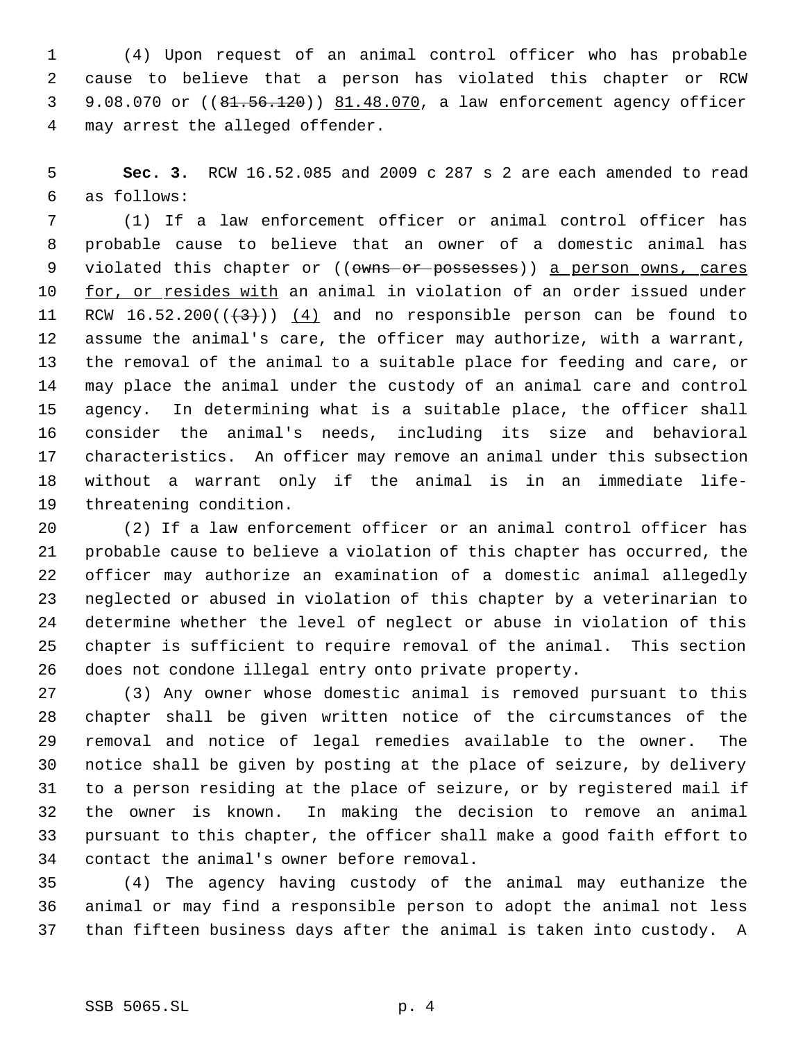(4) Upon request of an animal control officer who has probable cause to believe that a person has violated this chapter or RCW 9.08.070 or ((81.56.120)) 81.48.070, a law enforcement agency officer may arrest the alleged offender.

 **Sec. 3.** RCW 16.52.085 and 2009 c 287 s 2 are each amended to read as follows:

 (1) If a law enforcement officer or animal control officer has probable cause to believe that an owner of a domestic animal has 9 violated this chapter or ((owns or possesses)) a person owns, cares 10 for, or resides with an animal in violation of an order issued under 11 RCW 16.52.200 $((+3))$   $(4)$  and no responsible person can be found to assume the animal's care, the officer may authorize, with a warrant, the removal of the animal to a suitable place for feeding and care, or may place the animal under the custody of an animal care and control agency. In determining what is a suitable place, the officer shall consider the animal's needs, including its size and behavioral characteristics. An officer may remove an animal under this subsection without a warrant only if the animal is in an immediate life-threatening condition.

 (2) If a law enforcement officer or an animal control officer has probable cause to believe a violation of this chapter has occurred, the officer may authorize an examination of a domestic animal allegedly neglected or abused in violation of this chapter by a veterinarian to determine whether the level of neglect or abuse in violation of this chapter is sufficient to require removal of the animal. This section does not condone illegal entry onto private property.

 (3) Any owner whose domestic animal is removed pursuant to this chapter shall be given written notice of the circumstances of the removal and notice of legal remedies available to the owner. The notice shall be given by posting at the place of seizure, by delivery to a person residing at the place of seizure, or by registered mail if the owner is known. In making the decision to remove an animal pursuant to this chapter, the officer shall make a good faith effort to contact the animal's owner before removal.

 (4) The agency having custody of the animal may euthanize the animal or may find a responsible person to adopt the animal not less than fifteen business days after the animal is taken into custody. A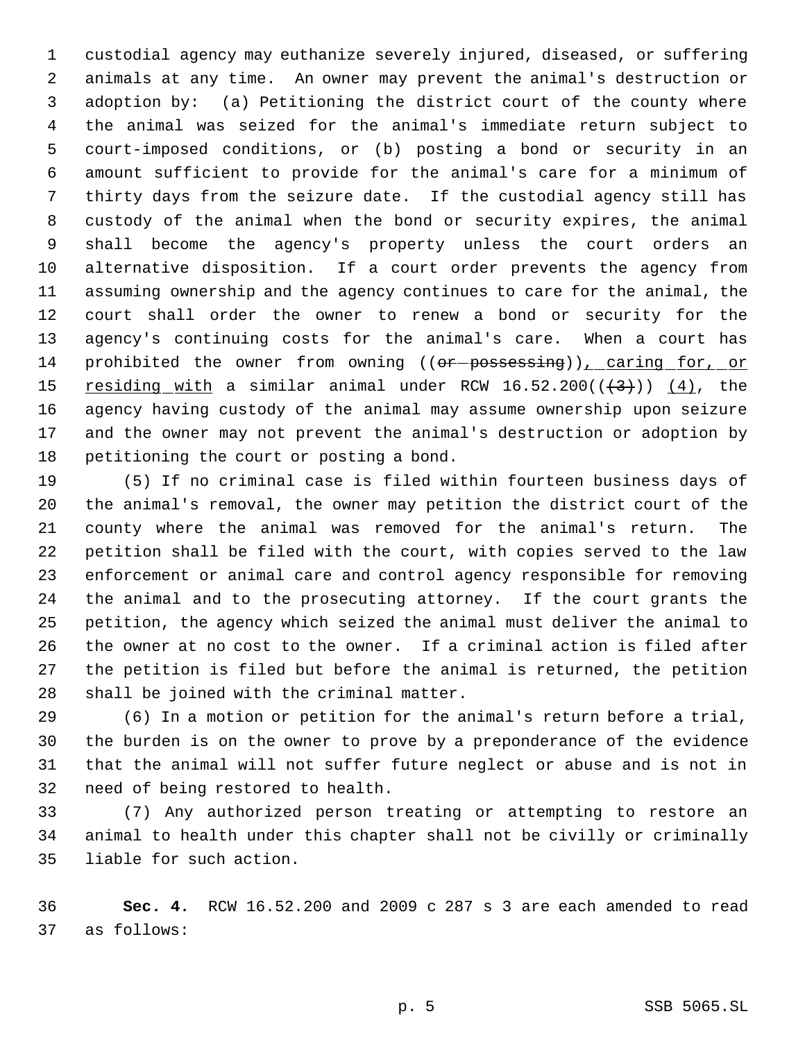custodial agency may euthanize severely injured, diseased, or suffering animals at any time. An owner may prevent the animal's destruction or adoption by: (a) Petitioning the district court of the county where the animal was seized for the animal's immediate return subject to court-imposed conditions, or (b) posting a bond or security in an amount sufficient to provide for the animal's care for a minimum of thirty days from the seizure date. If the custodial agency still has custody of the animal when the bond or security expires, the animal shall become the agency's property unless the court orders an alternative disposition. If a court order prevents the agency from assuming ownership and the agency continues to care for the animal, the court shall order the owner to renew a bond or security for the agency's continuing costs for the animal's care. When a court has 14 prohibited the owner from owning ((or-possessing)), caring for, or 15 <u>residing with</u> a similar animal under RCW  $16.52.200(( $\{\frac{4}{3}\})$ ) ( $\{\frac{4}{1}\}$ )$ , the agency having custody of the animal may assume ownership upon seizure and the owner may not prevent the animal's destruction or adoption by petitioning the court or posting a bond.

 (5) If no criminal case is filed within fourteen business days of the animal's removal, the owner may petition the district court of the county where the animal was removed for the animal's return. The petition shall be filed with the court, with copies served to the law enforcement or animal care and control agency responsible for removing the animal and to the prosecuting attorney. If the court grants the petition, the agency which seized the animal must deliver the animal to the owner at no cost to the owner. If a criminal action is filed after the petition is filed but before the animal is returned, the petition shall be joined with the criminal matter.

 (6) In a motion or petition for the animal's return before a trial, the burden is on the owner to prove by a preponderance of the evidence that the animal will not suffer future neglect or abuse and is not in need of being restored to health.

 (7) Any authorized person treating or attempting to restore an animal to health under this chapter shall not be civilly or criminally liable for such action.

 **Sec. 4.** RCW 16.52.200 and 2009 c 287 s 3 are each amended to read as follows: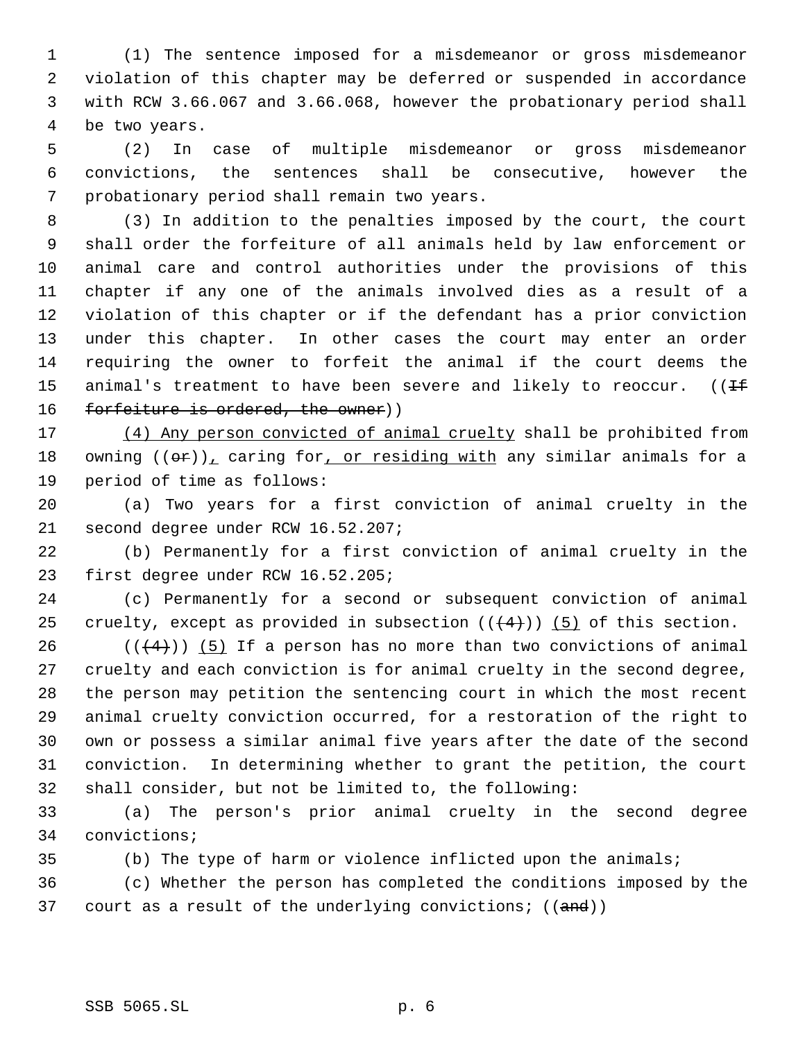(1) The sentence imposed for a misdemeanor or gross misdemeanor violation of this chapter may be deferred or suspended in accordance with RCW 3.66.067 and 3.66.068, however the probationary period shall be two years.

 (2) In case of multiple misdemeanor or gross misdemeanor convictions, the sentences shall be consecutive, however the probationary period shall remain two years.

 (3) In addition to the penalties imposed by the court, the court shall order the forfeiture of all animals held by law enforcement or animal care and control authorities under the provisions of this chapter if any one of the animals involved dies as a result of a violation of this chapter or if the defendant has a prior conviction under this chapter. In other cases the court may enter an order requiring the owner to forfeit the animal if the court deems the 15 animal's treatment to have been severe and likely to reoccur.  $($  ( $\pm$ 16 forfeiture is ordered, the owner))

 (4) Any person convicted of animal cruelty shall be prohibited from 18 owning  $((\theta \cdot \mathbf{r}))$ , caring for, or residing with any similar animals for a period of time as follows:

 (a) Two years for a first conviction of animal cruelty in the second degree under RCW 16.52.207;

 (b) Permanently for a first conviction of animal cruelty in the first degree under RCW 16.52.205;

 (c) Permanently for a second or subsequent conviction of animal 25 cruelty, except as provided in subsection  $((+4))$  (5) of this section.

 $((+4))$  (5) If a person has no more than two convictions of animal cruelty and each conviction is for animal cruelty in the second degree, the person may petition the sentencing court in which the most recent animal cruelty conviction occurred, for a restoration of the right to own or possess a similar animal five years after the date of the second conviction. In determining whether to grant the petition, the court shall consider, but not be limited to, the following:

 (a) The person's prior animal cruelty in the second degree convictions;

(b) The type of harm or violence inflicted upon the animals;

 (c) Whether the person has completed the conditions imposed by the 37 court as a result of the underlying convictions;  $((and))$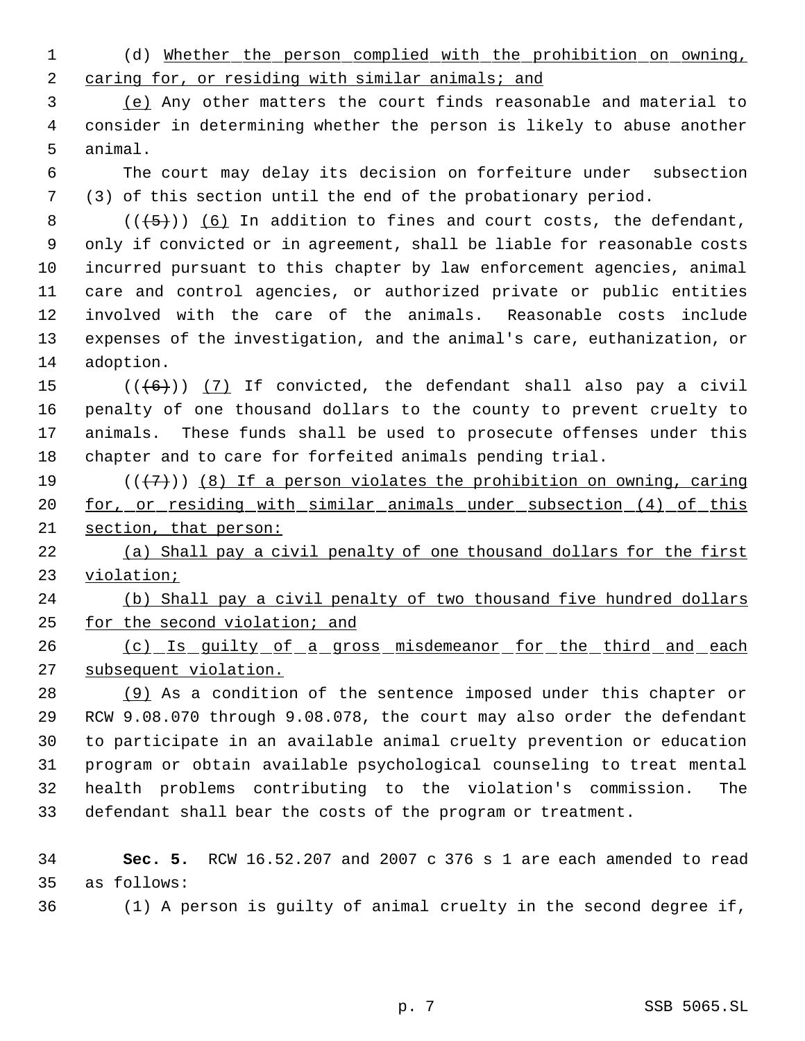(d) Whether the person complied with the prohibition on owning, 2 caring for, or residing with similar animals; and

 (e) Any other matters the court finds reasonable and material to consider in determining whether the person is likely to abuse another animal.

 The court may delay its decision on forfeiture under subsection (3) of this section until the end of the probationary period.

 $((+5))$   $(6)$  In addition to fines and court costs, the defendant, only if convicted or in agreement, shall be liable for reasonable costs incurred pursuant to this chapter by law enforcement agencies, animal care and control agencies, or authorized private or public entities involved with the care of the animals. Reasonable costs include expenses of the investigation, and the animal's care, euthanization, or adoption.

 $((+6))$   $(7)$  If convicted, the defendant shall also pay a civil penalty of one thousand dollars to the county to prevent cruelty to animals. These funds shall be used to prosecute offenses under this chapter and to care for forfeited animals pending trial.

19  $((+7))$  (8) If a person violates the prohibition on owning, caring 20 <u>for, or residing with similar animals under subsection (4) of this</u> section, that person:

 (a) Shall pay a civil penalty of one thousand dollars for the first violation;

 (b) Shall pay a civil penalty of two thousand five hundred dollars for the second violation; and

26 (c) Is guilty of a gross misdemeanor for the third and each 27 subsequent violation.

 (9) As a condition of the sentence imposed under this chapter or RCW 9.08.070 through 9.08.078, the court may also order the defendant to participate in an available animal cruelty prevention or education program or obtain available psychological counseling to treat mental health problems contributing to the violation's commission. The defendant shall bear the costs of the program or treatment.

 **Sec. 5.** RCW 16.52.207 and 2007 c 376 s 1 are each amended to read as follows:

(1) A person is guilty of animal cruelty in the second degree if,